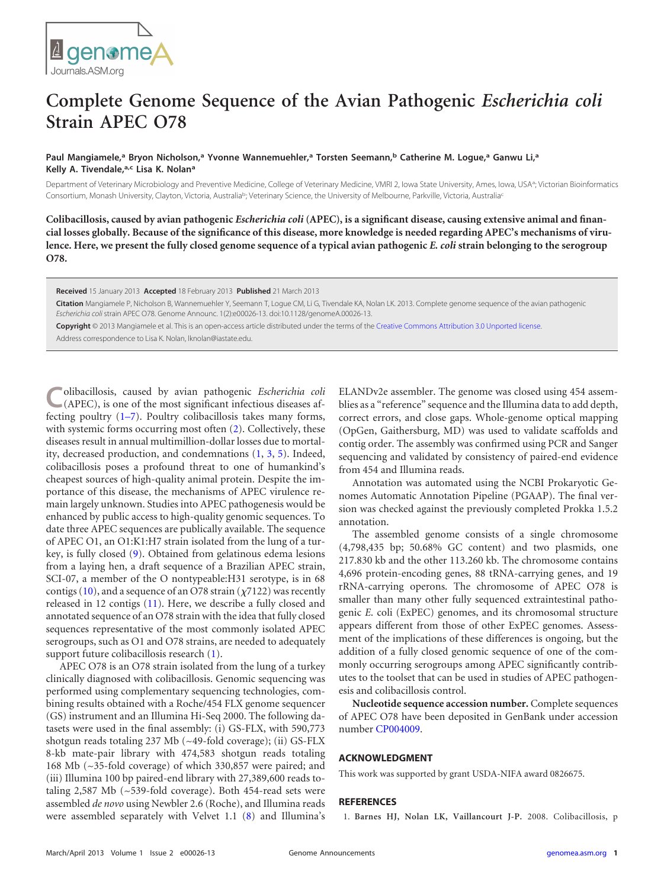

## **Complete Genome Sequence of the Avian Pathogenic** *Escherichia coli* **Strain APEC O78**

Paul Mangiamele,<sup>a</sup> Bryon Nicholson,<sup>a</sup> Yvonne Wannemuehler,<sup>a</sup> Torsten Seemann,<sup>b</sup> Catherine M. Logue,<sup>a</sup> Ganwu Li,<sup>a</sup> **Kelly A. Tivendale, a,c Lisa K. Nolana**

Department of Veterinary Microbiology and Preventive Medicine, College of Veterinary Medicine, VMRI 2, Iowa State University, Ames, Iowa, USA<sup>a</sup>; Victorian Bioinformatics Consortium, Monash University, Clayton, Victoria, Australia<sup>b</sup>; Veterinary Science, the University of Melbourne, Parkville, Victoria, Australia<sup>c</sup>

**Colibacillosis, caused by avian pathogenic** *Escherichia coli* **(APEC), is a significant disease, causing extensive animal and financial losses globally. Because of the significance of this disease, more knowledge is needed regarding APEC's mechanisms of virulence. Here, we present the fully closed genome sequence of a typical avian pathogenic** *E. coli* **strain belonging to the serogroup O78.**

**Received** 15 January 2013 **Accepted** 18 February 2013 **Published** 21 March 2013

**Citation** Mangiamele P, Nicholson B, Wannemuehler Y, Seemann T, Logue CM, Li G, Tivendale KA, Nolan LK. 2013. Complete genome sequence of the avian pathogenic *Escherichia coli* strain APEC O78. Genome Announc. 1(2):e00026-13. doi:10.1128/genomeA.00026-13.

**Copyright** © 2013 Mangiamele et al. This is an open-access article distributed under the terms of the [Creative Commons Attribution 3.0 Unported license.](http://creativecommons.org/licenses/by/3.0/) Address correspondence to Lisa K. Nolan, lknolan@iastate.edu.

**C**olibacillosis, caused by avian pathogenic *Escherichia coli* (APEC), is one of the most significant infectious diseases affecting poultry  $(1–7)$  $(1–7)$  $(1–7)$ . Poultry colibacillosis takes many forms, with systemic forms occurring most often [\(2\)](#page-1-2). Collectively, these diseases result in annual multimillion-dollar losses due to mortality, decreased production, and condemnations [\(1,](#page-0-0) [3,](#page-1-3) [5\)](#page-1-4). Indeed, colibacillosis poses a profound threat to one of humankind's cheapest sources of high-quality animal protein. Despite the importance of this disease, the mechanisms of APEC virulence remain largely unknown. Studies into APEC pathogenesis would be enhanced by public access to high-quality genomic sequences. To date three APEC sequences are publically available. The sequence of APEC O1, an O1:K1:H7 strain isolated from the lung of a turkey, is fully closed [\(9\)](#page-1-5). Obtained from gelatinous edema lesions from a laying hen, a draft sequence of a Brazilian APEC strain, SCI-07, a member of the O nontypeable:H31 serotype, is in 68 contigs [\(10\)](#page-1-6), and a sequence of an O78 strain ( $\chi$ 7122) was recently released in 12 contigs [\(11\)](#page-1-7). Here, we describe a fully closed and annotated sequence of an O78 strain with the idea that fully closed sequences representative of the most commonly isolated APEC serogroups, such as O1 and O78 strains, are needed to adequately support future colibacillosis research [\(1\)](#page-0-0).

APEC O78 is an O78 strain isolated from the lung of a turkey clinically diagnosed with colibacillosis. Genomic sequencing was performed using complementary sequencing technologies, combining results obtained with a Roche/454 FLX genome sequencer (GS) instrument and an Illumina Hi-Seq 2000. The following datasets were used in the final assembly: (i) GS-FLX, with 590,773 shotgun reads totaling 237 Mb (~49-fold coverage); (ii) GS-FLX 8-kb mate-pair library with 474,583 shotgun reads totaling 168 Mb (~35-fold coverage) of which 330,857 were paired; and (iii) Illumina 100 bp paired-end library with 27,389,600 reads totaling 2,587 Mb (~539-fold coverage). Both 454-read sets were assembled *de novo* using Newbler 2.6 (Roche), and Illumina reads were assembled separately with Velvet 1.1 [\(8\)](#page-1-8) and Illumina's ELANDv2e assembler. The genome was closed using 454 assemblies as a "reference" sequence and the Illumina data to add depth, correct errors, and close gaps. Whole-genome optical mapping (OpGen, Gaithersburg, MD) was used to validate scaffolds and contig order. The assembly was confirmed using PCR and Sanger sequencing and validated by consistency of paired-end evidence from 454 and Illumina reads.

Annotation was automated using the NCBI Prokaryotic Genomes Automatic Annotation Pipeline (PGAAP). The final version was checked against the previously completed Prokka 1.5.2 annotation.

The assembled genome consists of a single chromosome (4,798,435 bp; 50.68% GC content) and two plasmids, one 217.830 kb and the other 113.260 kb. The chromosome contains 4,696 protein-encoding genes, 88 tRNA-carrying genes, and 19 rRNA-carrying operons. The chromosome of APEC O78 is smaller than many other fully sequenced extraintestinal pathogenic *E*. coli (ExPEC) genomes, and its chromosomal structure appears different from those of other ExPEC genomes. Assessment of the implications of these differences is ongoing, but the addition of a fully closed genomic sequence of one of the commonly occurring serogroups among APEC significantly contributes to the toolset that can be used in studies of APEC pathogenesis and colibacillosis control.

**Nucleotide sequence accession number.** Complete sequences of APEC O78 have been deposited in GenBank under accession number [CP004009.](http://www.ncbi.nlm.nih.gov/nuccore?term=CP004009)

## **ACKNOWLEDGMENT**

This work was supported by grant USDA-NIFA award 0826675.

## <span id="page-0-0"></span>**REFERENCES**

1. **Barnes HJ, Nolan LK, Vaillancourt J-P.** 2008. Colibacillosis, p